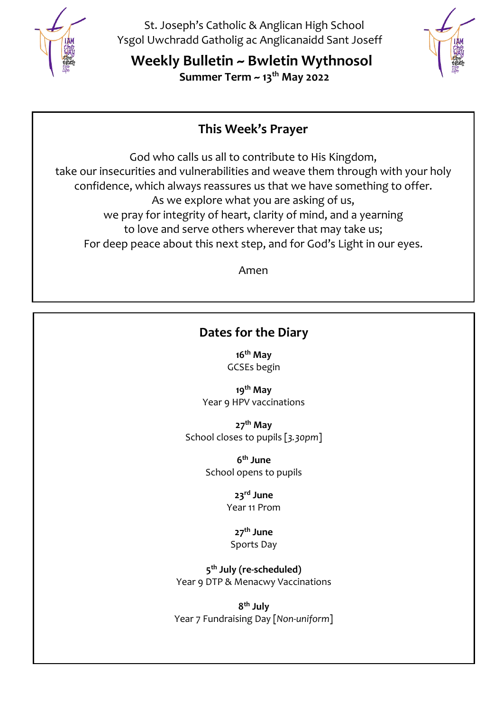

St. Joseph's Catholic & Anglican High School Ysgol Uwchradd Gatholig ac Anglicanaidd Sant Joseff

**Weekly Bulletin ~ Bwletin Wythnosol Summer Term ~ 13th May 2022**



# **This Week's Prayer**

God who calls us all to contribute to His Kingdom, take our insecurities and vulnerabilities and weave them through with your holy confidence, which always reassures us that we have something to offer. As we explore what you are asking of us, we pray for integrity of heart, clarity of mind, and a yearning to love and serve others wherever that may take us; For deep peace about this next step, and for God's Light in our eyes.

Amen

# **Dates for the Diary**

**16 th May** GCSEs begin

**19th May** Year 9 HPV vaccinations

**27th May** School closes to pupils [*3.30pm*]

> **6 th June** School opens to pupils

> > **23rd June** Year 11 Prom

### **27th June** Sports Day

**5 th July (re-scheduled)** Year 9 DTP & Menacwy Vaccinations

**8 th July** Year 7 Fundraising Day [*Non-uniform*]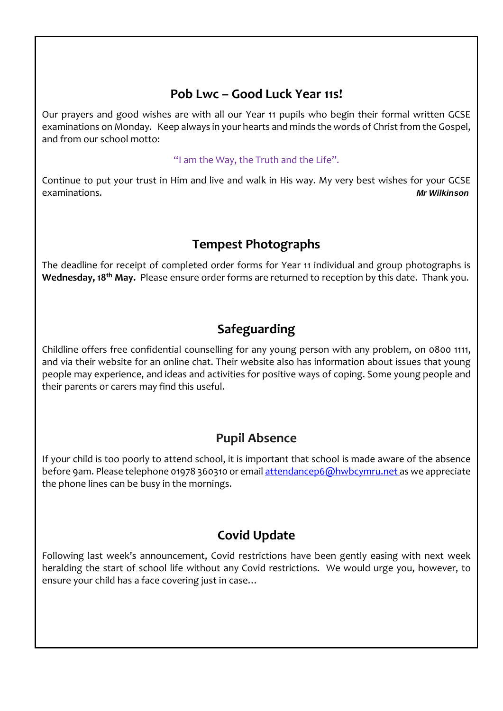## **Pob Lwc – Good Luck Year 11s!**

Our prayers and good wishes are with all our Year 11 pupils who begin their formal written GCSE examinations on Monday. Keep always in your hearts and minds the words of Christ from the Gospel, and from our school motto:

### "I am the Way, the Truth and the Life".

Continue to put your trust in Him and live and walk in His way. My very best wishes for your GCSE examinations. *Mr Wilkinson*

## **Tempest Photographs**

The deadline for receipt of completed order forms for Year 11 individual and group photographs is **Wednesday, 18th May.** Please ensure order forms are returned to reception by this date. Thank you.

## **Safeguarding**

Childline offers free confidential counselling for any young person with any problem, on 0800 1111, and via their website for an online chat. Their website also has information about issues that young people may experience, and ideas and activities for positive ways of coping. Some young people and their parents or carers may find this useful.

## **Pupil Absence**

If your child is too poorly to attend school, it is important that school is made aware of the absence before 9am. Please telephone 01978 360310 or email [attendancep6@hwbcymru.net](mailto:attendancep6@hwbcymru.net) as we appreciate the phone lines can be busy in the mornings.

## **Covid Update**

Following last week's announcement, Covid restrictions have been gently easing with next week heralding the start of school life without any Covid restrictions. We would urge you, however, to ensure your child has a face covering just in case…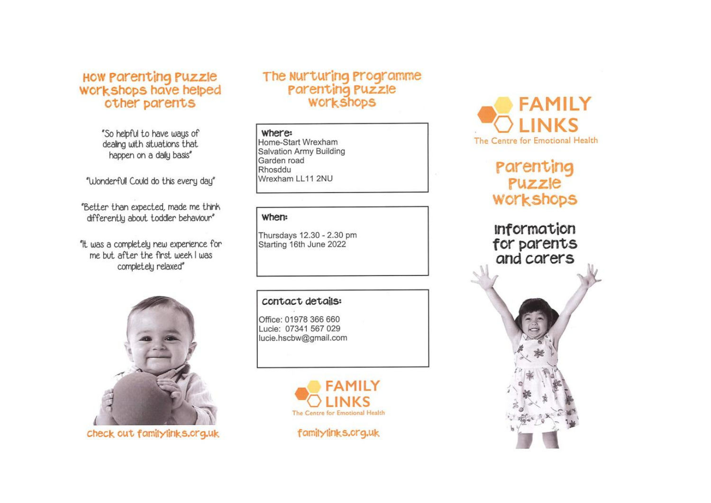# How Parenting Puzzle<br>Workshops have helped other parents

"So helpful to have ways of dealing with situations that happen on a daily basis"

"Wonderfull Could do this every day"

"Better than expected, made me think differently about toddler behaviour"

"It was a completely new experience for me but after the first week I was completely relaxed"



check out familylinks.org.uk

### The Nurturing Programme Parenting Puzzle **WOLKSHODS**

#### where:

Home-Start Wrexham Salvation Army Building Garden road Rhosddu Wrexham LL11 2NU

### when:

Thursdays 12.30 - 2.30 pm Starting 16th June 2022

### contact details:

Office: 01978 366 660 Lucie: 07341 567 029 lucie.hscbw@gmail.com







# Parenting Puzzle **WOLKSHODS**

**Information** for parents and carers